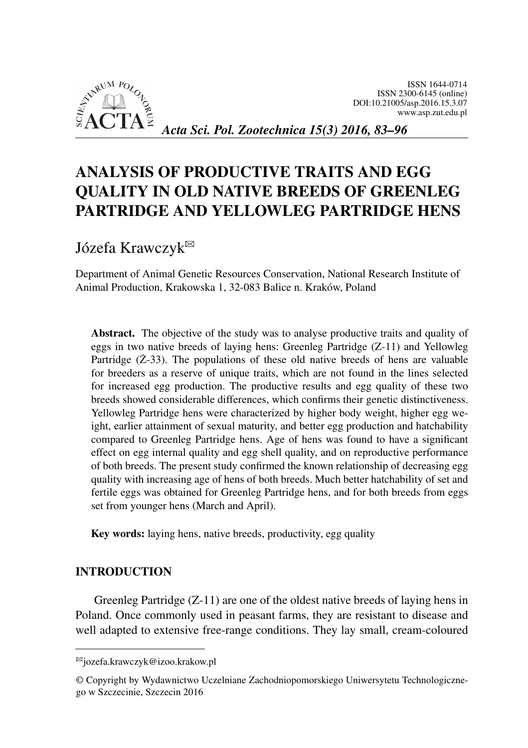<span id="page-0-0"></span>

# ANALYSIS OF PRODUCTIVE TRAITS AND EGG QUALITY IN OLD NATIVE BREEDS OF GREENLEG PARTRIDGE AND YELLOWLEG PARTRIDGE HENS

Józefa Krawczyk<sup>⊠</sup>

Department of Animal Genetic Resources Conservation, National Research Institute of Animal Production, Krakowska 1, 32-083 Balice n. Kraków, Poland

Abstract. The objective of the study was to analyse productive traits and quality of eggs in two native breeds of laying hens: Greenleg Partridge (Z-11) and Yellowleg Partridge  $(Z-33)$ . The populations of these old native breeds of hens are valuable for breeders as a reserve of unique traits, which are not found in the lines selected for increased egg production. The productive results and egg quality of these two breeds showed considerable differences, which confirms their genetic distinctiveness. Yellowleg Partridge hens were characterized by higher body weight, higher egg weight, earlier attainment of sexual maturity, and better egg production and hatchability compared to Greenleg Partridge hens. Age of hens was found to have a significant effect on egg internal quality and egg shell quality, and on reproductive performance of both breeds. The present study confirmed the known relationship of decreasing egg quality with increasing age of hens of both breeds. Much better hatchability of set and fertile eggs was obtained for Greenleg Partridge hens, and for both breeds from eggs set from younger hens (March and April).

Key words: laying hens, native breeds, productivity, egg quality

#### INTRODUCTION

Greenleg Partridge (Z-11) are one of the oldest native breeds of laying hens in Poland. Once commonly used in peasant farms, they are resistant to disease and well adapted to extensive free-range conditions. They lay small, cream-coloured

<sup>B</sup>jozefa.krawczyk@izoo.krakow.pl

<sup>©</sup> Copyright by Wydawnictwo Uczelniane Zachodniopomorskiego Uniwersytetu Technologicznego w Szczecinie, Szczecin 2016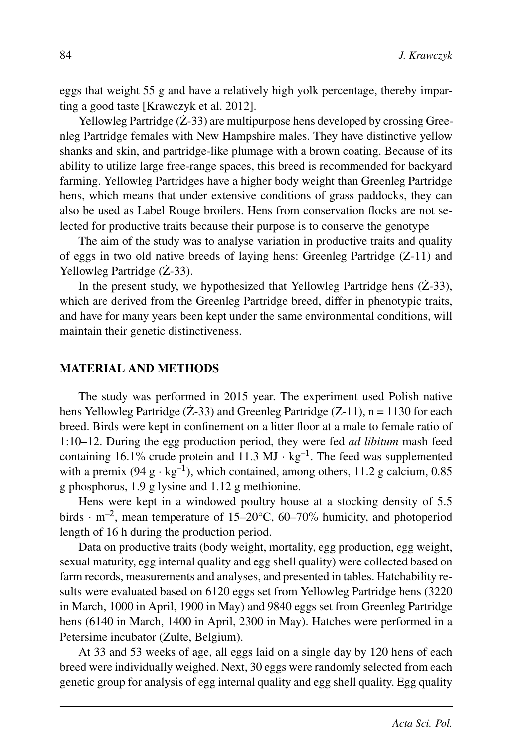eggs that weight 55 g and have a relatively high yolk percentage, thereby imparting a good taste [Krawczyk et al. 2012].

Yellowleg Partridge  $(Z-33)$  are multipurpose hens developed by crossing Greenleg Partridge females with New Hampshire males. They have distinctive yellow shanks and skin, and partridge-like plumage with a brown coating. Because of its ability to utilize large free-range spaces, this breed is recommended for backyard farming. Yellowleg Partridges have a higher body weight than Greenleg Partridge hens, which means that under extensive conditions of grass paddocks, they can also be used as Label Rouge broilers. Hens from conservation flocks are not selected for productive traits because their purpose is to conserve the genotype

The aim of the study was to analyse variation in productive traits and quality of eggs in two old native breeds of laying hens: Greenleg Partridge (Z-11) and Yellowleg Partridge  $(Z-33)$ .

In the present study, we hypothesized that Yellowleg Partridge hens  $(Z-33)$ , which are derived from the Greenleg Partridge breed, differ in phenotypic traits, and have for many years been kept under the same environmental conditions, will maintain their genetic distinctiveness.

#### MATERIAL AND METHODS

The study was performed in 2015 year. The experiment used Polish native hens Yellowleg Partridge ( $\angle$ z-33) and Greenleg Partridge ( $Z$ -11), n = 1130 for each breed. Birds were kept in confinement on a litter floor at a male to female ratio of 1:10–12. During the egg production period, they were fed *ad libitum* mash feed containing 16.1% crude protein and 11.3 MJ  $\cdot$  kg<sup>-1</sup>. The feed was supplemented with a premix (94  $g \cdot kg^{-1}$ ), which contained, among others, 11.2 g calcium, 0.85 g phosphorus, 1.9 g lysine and 1.12 g methionine.

Hens were kept in a windowed poultry house at a stocking density of 5.5 birds  $\cdot$  m<sup>-2</sup>, mean temperature of 15–20 $\degree$ C, 60–70% humidity, and photoperiod length of 16 h during the production period.

Data on productive traits (body weight, mortality, egg production, egg weight, sexual maturity, egg internal quality and egg shell quality) were collected based on farm records, measurements and analyses, and presented in tables. Hatchability results were evaluated based on 6120 eggs set from Yellowleg Partridge hens (3220 in March, 1000 in April, 1900 in May) and 9840 eggs set from Greenleg Partridge hens (6140 in March, 1400 in April, 2300 in May). Hatches were performed in a Petersime incubator (Zulte, Belgium).

At 33 and 53 weeks of age, all eggs laid on a single day by 120 hens of each breed were individually weighed. Next, 30 eggs were randomly selected from each genetic group for analysis of egg internal quality and egg shell quality. Egg quality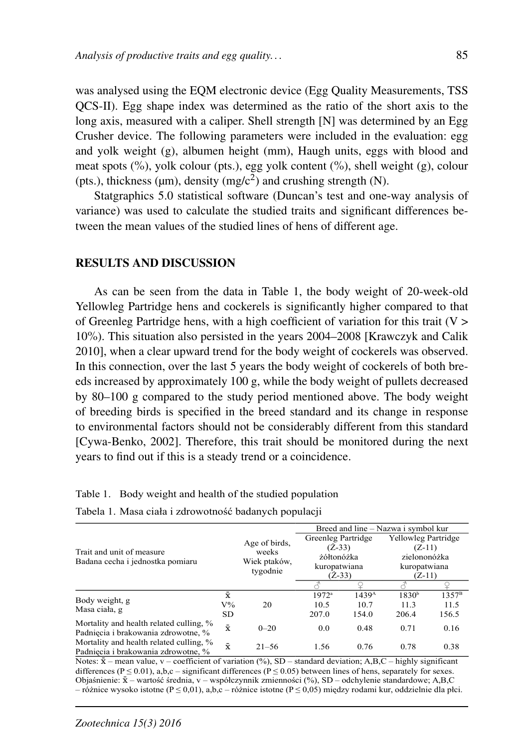was analysed using the EQM electronic device (Egg Quality Measurements, TSS QCS-II). Egg shape index was determined as the ratio of the short axis to the long axis, measured with a caliper. Shell strength [N] was determined by an Egg Crusher device. The following parameters were included in the evaluation: egg and yolk weight (g), albumen height (mm), Haugh units, eggs with blood and meat spots  $(\%)$ , yolk colour (pts.), egg yolk content  $(\%)$ , shell weight (g), colour (pts.), thickness ( $\mu$ m), density (mg/c<sup>2</sup>) and crushing strength (N).

Statgraphics 5.0 statistical software (Duncan's test and one-way analysis of variance) was used to calculate the studied traits and significant differences between the mean values of the studied lines of hens of different age.

#### RESULTS AND DISCUSSION

As can be seen from the data in Table 1, the body weight of 20-week-old Yellowleg Partridge hens and cockerels is significantly higher compared to that of Greenleg Partridge hens, with a high coefficient of variation for this trait  $(V > 0)$ 10%). This situation also persisted in the years 2004–2008 [Krawczyk and Calik 2010], when a clear upward trend for the body weight of cockerels was observed. In this connection, over the last 5 years the body weight of cockerels of both breeds increased by approximately 100 g, while the body weight of pullets decreased by 80–100 g compared to the study period mentioned above. The body weight of breeding birds is specified in the breed standard and its change in response to environmental factors should not be considerably different from this standard [Cywa-Benko, 2002]. Therefore, this trait should be monitored during the next years to find out if this is a steady trend or a coincidence.

|                                                                                |           |                        | Breed and line – Nazwa i symbol kur    |                   |                                          |                |
|--------------------------------------------------------------------------------|-----------|------------------------|----------------------------------------|-------------------|------------------------------------------|----------------|
| Trait and unit of measure<br>Badana cecha i jednostka pomiaru                  |           |                        | Greenleg Partridge                     |                   | <b>Yellowleg Partridge</b>               |                |
|                                                                                |           | Age of birds,<br>weeks | $(Z-33)$<br>żółtonóżka<br>kuropatwiana |                   | $(Z-11)$<br>zielononóżka<br>kuropatwiana |                |
|                                                                                |           |                        |                                        |                   |                                          |                |
|                                                                                |           | Wiek ptaków,           |                                        |                   |                                          |                |
|                                                                                |           | tygodnie               | $(Z-33)$                               |                   | $(Z-11)$                                 |                |
|                                                                                |           |                        |                                        |                   |                                          |                |
|                                                                                | $\bar{x}$ |                        | $1972^a$                               | 1439 <sup>A</sup> | 1830 <sup>b</sup>                        | $1357^{\rm B}$ |
| Body weight, g<br>Masa ciała, g                                                | $V\%$     | 20                     | 10.5                                   | 10.7              | 11.3                                     | 11.5           |
|                                                                                | <b>SD</b> |                        | 207.0                                  | 154.0             | 206.4                                    | 156.5          |
| Mortality and health related culling, %<br>Padniecia i brakowania zdrowotne, % | $\bar{x}$ | $0 - 20$               | 0.0                                    | 0.48              | 0.71                                     | 0.16           |
| Mortality and health related culling, %<br>Padniecia i brakowania zdrowotne, % | $\bar{x}$ | $21 - 56$              | 1.56                                   | 0.76              | 0.78                                     | 0.38           |

| Table 1. Body weight and health of the studied population |  |
|-----------------------------------------------------------|--|
|-----------------------------------------------------------|--|

| Tabela 1. Masa ciała i zdrowotność badanych populacji |  |
|-------------------------------------------------------|--|
|-------------------------------------------------------|--|

Notes:  $\bar{x}$  – mean value, v – coefficient of variation (%), SD – standard deviation; A,B,C – highly significant differences ( $P \le 0.01$ ), a,b,c – significant differences ( $P \le 0.05$ ) between lines of hens, separately for sexes. Objaśnienie: xx – wartość średnia, v – współczynnik zmienności (%), SD – odchylenie standardowe; A,B,C – różnice wysoko istotne (P ≤ 0,01), a,b,c – różnice istotne (P ≤ 0,05) między rodami kur, oddzielnie dla płci.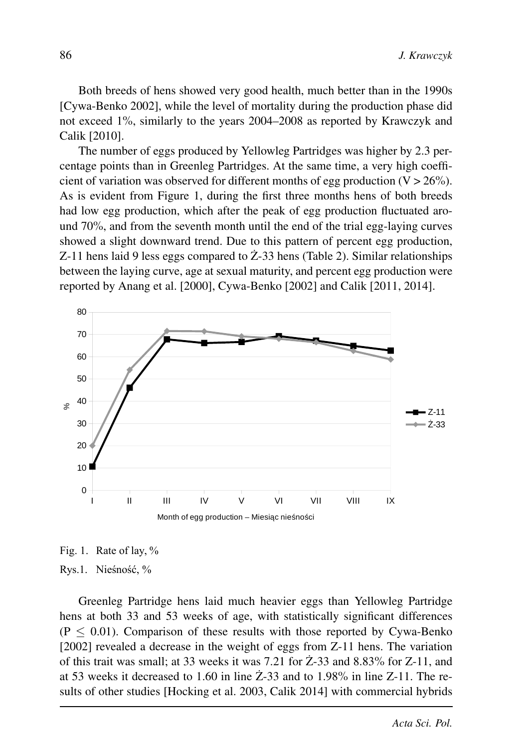Both breeds of hens showed very good health, much better than in the 1990s [Cywa-Benko 2002], while the level of mortality during the production phase did not exceed 1%, similarly to the years 2004–2008 as reported by Krawczyk and Calik [2010].

The number of eggs produced by Yellowleg Partridges was higher by 2.3 percentage points than in Greenleg Partridges. At the same time, a very high coefficient of variation was observed for different months of egg production  $(V > 26\%)$ . As is evident from Figure 1, during the first three months hens of both breeds had low egg production, which after the peak of egg production fluctuated around 70%, and from the seventh month until the end of the trial egg-laying curves showed a slight downward trend. Due to this pattern of percent egg production, Z-11 hens laid 9 less eggs compared to  $Z$ -33 hens (Table 2). Similar relationships between the laying curve, age at sexual maturity, and percent egg production were reported by Anang et al. [2000], Cywa-Benko [2002] and Calik [2011, 2014].



Fig. 1. Rate of lay, %

#### Rys.1. Nieśność, %

Greenleg Partridge hens laid much heavier eggs than Yellowleg Partridge hens at both 33 and 53 weeks of age, with statistically significant differences  $(P \le 0.01)$ . Comparison of these results with those reported by Cywa-Benko [2002] revealed a decrease in the weight of eggs from Z-11 hens. The variation of this trait was small; at 33 weeks it was 7.21 for  $Z$ -33 and 8.83% for  $Z$ -11, and at 53 weeks it decreased to 1.60 in line  $\dot{Z}$ -33 and to 1.98% in line Z-11. The results of other studies [Hocking et al. 2003, Calik 2014] with commercial hybrids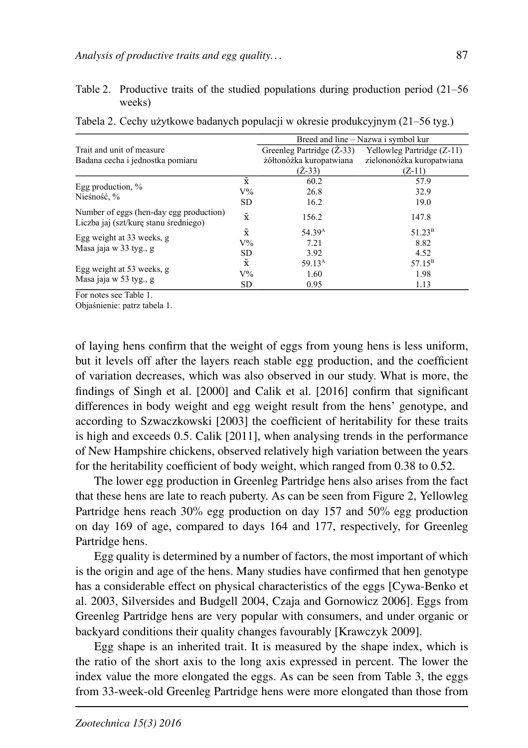#### Table 2. Productive traits of the studied populations during production period (21–56 weeks)

|                                                                                  |           |                         | Breed and line – Nazwa i symbol kur                  |
|----------------------------------------------------------------------------------|-----------|-------------------------|------------------------------------------------------|
| Trait and unit of measure                                                        |           |                         | Greenleg Partridge (Z-33) Yellowleg Partridge (Z-11) |
| Badana cecha i jednostka pomiaru                                                 |           | żółtonóżka kuropatwiana | zielononóżka kuropatwiana                            |
|                                                                                  |           | $(Z-33)$                | $(Z-11)$                                             |
| Egg production, $\%$                                                             | $\bar{x}$ | 60.2                    | 57.9                                                 |
| Nieśność, %                                                                      | $V\%$     | 26.8                    | 32.9                                                 |
|                                                                                  | <b>SD</b> | 16.2                    | 19.0                                                 |
| Number of eggs (hen-day egg production)<br>Liczba jaj (szt/kurę stanu średniego) | $\bar{x}$ | 156.2                   | 147.8                                                |
|                                                                                  | $\bar{x}$ | 54.39 <sup>A</sup>      | $51.23^{\rm B}$                                      |
| Egg weight at 33 weeks, g<br>Masa jaja w 33 tyg., g                              | $V\%$     | 7.21                    | 8.82                                                 |
|                                                                                  | <b>SD</b> | 3.92                    | 4.52                                                 |
|                                                                                  | $\bar{x}$ | 59.13 <sup>A</sup>      | $57.15^{\rm B}$                                      |
| Egg weight at 53 weeks, g                                                        | $V\%$     | 1.60                    | 1.98                                                 |
| Masa jaja w 53 tyg., g                                                           |           | 0.95                    | 1.13                                                 |

Tabela 2. Cechy użytkowe badanych populacji w okresie produkcyjnym (21–56 tyg.)

For notes see Table 1.

Objaśnienie: patrz tabela 1.

of laying hens confirm that the weight of eggs from young hens is less uniform, but it levels off after the layers reach stable egg production, and the coefficient of variation decreases, which was also observed in our study. What is more, the findings of Singh et al. [2000] and Calik et al. [2016] confirm that significant differences in body weight and egg weight result from the hens' genotype, and according to Szwaczkowski [2003] the coefficient of heritability for these traits is high and exceeds 0.5. Calik [2011], when analysing trends in the performance of New Hampshire chickens, observed relatively high variation between the years for the heritability coefficient of body weight, which ranged from 0.38 to 0.52.

The lower egg production in Greenleg Partridge hens also arises from the fact that these hens are late to reach puberty. As can be seen from Figure 2, Yellowleg Partridge hens reach 30% egg production on day 157 and 50% egg production on day 169 of age, compared to days 164 and 177, respectively, for Greenleg Partridge hens.

Egg quality is determined by a number of factors, the most important of which is the origin and age of the hens. Many studies have confirmed that hen genotype has a considerable effect on physical characteristics of the eggs [Cywa-Benko et al. 2003, Silversides and Budgell 2004, Czaja and Gornowicz 2006]. Eggs from Greenleg Partridge hens are very popular with consumers, and under organic or backyard conditions their quality changes favourably [Krawczyk 2009].

Egg shape is an inherited trait. It is measured by the shape index, which is the ratio of the short axis to the long axis expressed in percent. The lower the index value the more elongated the eggs. As can be seen from Table 3, the eggs from 33-week-old Greenleg Partridge hens were more elongated than those from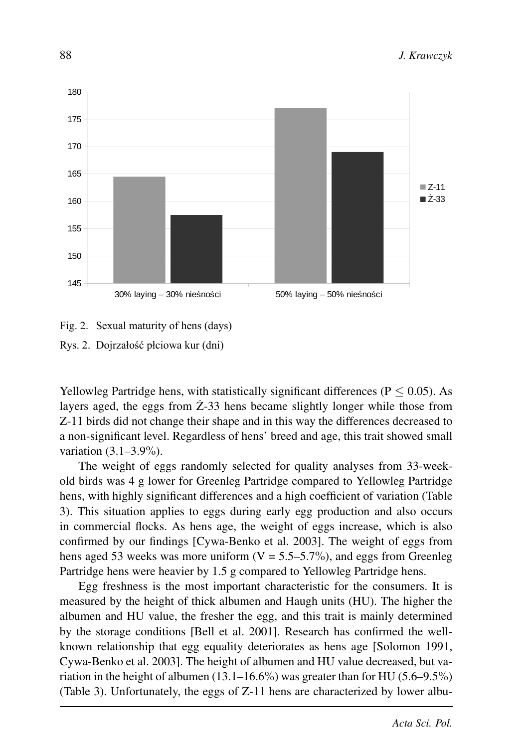

# Fig. 2. Sexual maturity of hens (days) Rys. 2. Dojrzałość płciowa kur (dni)

Yellowleg Partridge hens, with statistically significant differences ( $P \le 0.05$ ). As layers aged, the eggs from  $\dot{Z}$ -33 hens became slightly longer while those from Z-11 birds did not change their shape and in this way the differences decreased to a non-significant level. Regardless of hens' breed and age, this trait showed small variation (3.1–3.9%).

The weight of eggs randomly selected for quality analyses from 33-weekold birds was 4 g lower for Greenleg Partridge compared to Yellowleg Partridge hens, with highly significant differences and a high coefficient of variation (Table 3). This situation applies to eggs during early egg production and also occurs in commercial flocks. As hens age, the weight of eggs increase, which is also confirmed by our findings [Cywa-Benko et al. 2003]. The weight of eggs from hens aged 53 weeks was more uniform  $(V = 5.5-5.7\%)$ , and eggs from Greenleg Partridge hens were heavier by 1.5 g compared to Yellowleg Partridge hens.

Egg freshness is the most important characteristic for the consumers. It is measured by the height of thick albumen and Haugh units (HU). The higher the albumen and HU value, the fresher the egg, and this trait is mainly determined by the storage conditions [Bell et al. 2001]. Research has confirmed the wellknown relationship that egg equality deteriorates as hens age [Solomon 1991, Cywa-Benko et al. 2003]. The height of albumen and HU value decreased, but variation in the height of albumen  $(13.1–16.6%)$  was greater than for HU  $(5.6–9.5%)$ (Table 3). Unfortunately, the eggs of Z-11 hens are characterized by lower albu-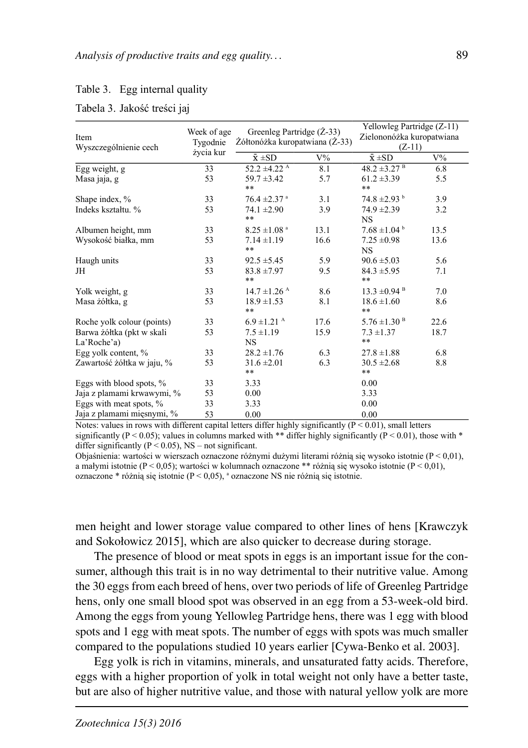#### Table 3. Egg internal quality

|  | Tabela 3. Jakość treści jaj |  |
|--|-----------------------------|--|

| Item<br>Wyszczególnienie cech | Week of age<br>Tygodnie | Greenleg Partridge (Z-33)<br>Żółtonóżka kuropatwiana (Ż-33) |       | Yellowleg Partridge (Z-11)<br>Zielononóżka kuropatwiana<br>$(Z-11)$ |       |
|-------------------------------|-------------------------|-------------------------------------------------------------|-------|---------------------------------------------------------------------|-------|
|                               | życia kur               | $\bar{x} \pm SD$                                            | $V\%$ | $\bar{x}$ ±SD                                                       | $V\%$ |
| Egg weight, g                 | 33                      | $52.2 \pm 4.22$ <sup>A</sup>                                | 8.1   | $48.2 \pm 3.27$ <sup>B</sup>                                        | 6.8   |
| Masa jaja, g                  | 53                      | $59.7 \pm 3.42$                                             | 5.7   | $61.2 \pm 3.39$                                                     | 5.5   |
|                               |                         | $***$                                                       |       | $***$                                                               |       |
| Shape index, %                | 33                      | $76.4 \pm 2.37$ <sup>a</sup>                                | 3.1   | $74.8 \pm 2.93$ <sup>b</sup>                                        | 3.9   |
| Indeks kształtu. %            | 53                      | $74.1 \pm 2.90$                                             | 3.9   | $74.9 \pm 2.39$                                                     | 3.2   |
|                               |                         | $***$                                                       |       | <b>NS</b>                                                           |       |
| Albumen height, mm            | 33                      | $8.25 \pm 1.08$ <sup>a</sup>                                | 13.1  | $7.68 \pm 1.04^{\circ}$                                             | 13.5  |
| Wysokość białka, mm           | 53                      | $7.14 \pm 1.19$                                             | 16.6  | $7.25 \pm 0.98$                                                     | 13.6  |
|                               |                         | $***$                                                       |       | <b>NS</b>                                                           |       |
| Haugh units                   | 33                      | $92.5 \pm 5.45$                                             | 5.9   | $90.6 \pm 5.03$                                                     | 5.6   |
| JH                            | 53                      | $83.8 \pm 7.97$                                             | 9.5   | $84.3 \pm 5.95$                                                     | 7.1   |
|                               |                         | $***$                                                       |       | $***$                                                               |       |
| Yolk weight, g                | 33                      | $14.7 \pm 1.26$ <sup>A</sup>                                | 8.6   | $13.3 \pm 0.94$ <sup>B</sup>                                        | 7.0   |
| Masa żółtka, g                | 53                      | $18.9 \pm 1.53$<br>**                                       | 8.1   | $18.6 \pm 1.60$<br>**                                               | 8.6   |
| Roche yolk colour (points)    | 33                      | $6.9 \pm 1.21$ <sup>A</sup>                                 | 17.6  | $5.76 \pm 1.30$ <sup>B</sup>                                        | 22.6  |
| Barwa żółtka (pkt w skali     | 53                      | $7.5 \pm 1.19$                                              | 15.9  | $7.3 \pm 1.37$                                                      | 18.7  |
| La'Roche'a)                   |                         | <b>NS</b>                                                   |       | $***$                                                               |       |
| Egg yolk content, %           | 33                      | $28.2 \pm 1.76$                                             | 6.3   | $27.8 \pm 1.88$                                                     | 6.8   |
| Zawartość żółtka w jaju, %    | 53                      | $31.6 \pm 2.01$                                             | 6.3   | $30.5 \pm 2.68$                                                     | 8.8   |
|                               |                         | $***$                                                       |       | **                                                                  |       |
| Eggs with blood spots, %      | 33                      | 3.33                                                        |       | 0.00                                                                |       |
| Jaja z plamami krwawymi, %    | 53                      | 0.00                                                        |       | 3.33                                                                |       |
| Eggs with meat spots, %       | 33                      | 3.33                                                        |       | 0.00                                                                |       |
| Jaja z plamami mięsnymi, %    | 53                      | 0.00                                                        |       | 0.00                                                                |       |

Notes: values in rows with different capital letters differ highly significantly  $(P < 0.01)$ , small letters significantly (P < 0.05); values in columns marked with \*\* differ highly significantly (P < 0.01), those with \* differ significantly ( $P < 0.05$ ), NS – not significant.

Objaśnienia: wartości w wierszach oznaczone różnymi dużymi literami różnią się wysoko istotnie ( $P < 0.01$ ), a małymi istotnie ( $P < 0.05$ ); wartości w kolumnach oznaczone \*\* różnia się wysoko istotnie ( $P < 0.01$ ), oznaczone \* różnią się istotnie ( $P < 0.05$ ), <sup>a</sup> oznaczone NS nie różnią się istotnie.

men height and lower storage value compared to other lines of hens [Krawczyk and Sokołowicz 2015], which are also quicker to decrease during storage.

The presence of blood or meat spots in eggs is an important issue for the consumer, although this trait is in no way detrimental to their nutritive value. Among the 30 eggs from each breed of hens, over two periods of life of Greenleg Partridge hens, only one small blood spot was observed in an egg from a 53-week-old bird. Among the eggs from young Yellowleg Partridge hens, there was 1 egg with blood spots and 1 egg with meat spots. The number of eggs with spots was much smaller compared to the populations studied 10 years earlier [Cywa-Benko et al. 2003].

Egg yolk is rich in vitamins, minerals, and unsaturated fatty acids. Therefore, eggs with a higher proportion of yolk in total weight not only have a better taste, but are also of higher nutritive value, and those with natural yellow yolk are more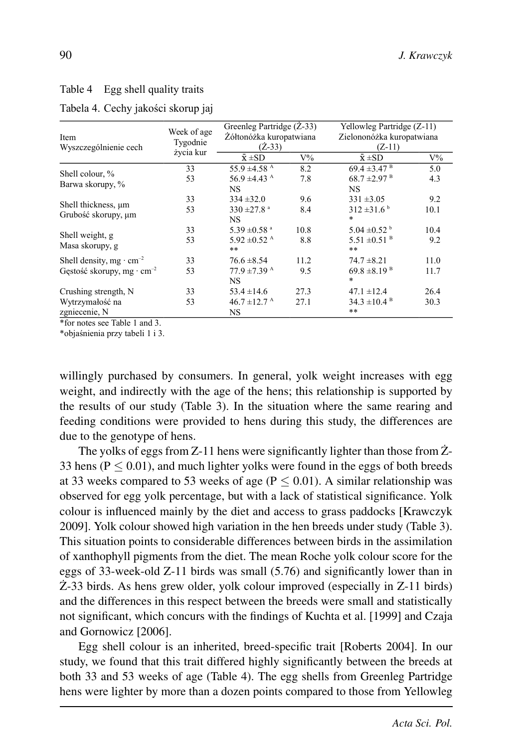## Table 4 Egg shell quality traits

| Item<br>Wyszczególnienie cech                | Week of age<br>Tygodnie | Greenleg Partridge (Z-33)<br>Żółtonóżka kuropatwiana<br>$(Z-33)$ |       | Yellowleg Partridge (Z-11)<br>Zielononóżka kuropatwiana<br>$(Z-11)$ |       |
|----------------------------------------------|-------------------------|------------------------------------------------------------------|-------|---------------------------------------------------------------------|-------|
|                                              | życia kur               | $\bar{x} \pm SD$                                                 | $V\%$ | $\bar{x} \pm SD$                                                    | $V\%$ |
|                                              | 33                      | 55.9 $\pm$ 4.58 <sup>A</sup>                                     | 8.2   | $69.4 \pm 3.47$ <sup>B</sup>                                        | 5.0   |
| Shell colour, %<br>Barwa skorupy, %          | 53                      | 56.9 $\pm$ 4.43 <sup>A</sup>                                     | 7.8   | $68.7 \pm 2.97$ <sup>B</sup>                                        | 4.3   |
|                                              |                         | NS.                                                              |       | <b>NS</b>                                                           |       |
| Shell thickness, um<br>Grubość skorupy, µm   | 33                      | $334 + 32.0$                                                     | 9.6   | $331 \pm 3.05$                                                      | 9.2   |
|                                              | 53                      | 330 $\pm$ 27.8 <sup>a</sup><br>NS.                               | 8.4   | $312 \pm 31.6^{\circ}$<br>*                                         | 10.1  |
| Shell weight, g                              | 33                      | 5.39 $\pm$ 0.58 $^{\circ}$                                       | 10.8  | $5.04 \pm 0.52$ <sup>b</sup>                                        | 10.4  |
| Masa skorupy, g                              | 53                      | 5.92 $\pm$ 0.52 <sup>A</sup><br>$***$                            | 8.8   | $5.51 \pm 0.51$ <sup>B</sup><br>$**$                                | 9.2   |
| Shell density, mg $\cdot$ cm <sup>-2</sup>   | 33                      | $76.6 \pm 8.54$                                                  | 11.2  | $74.7 \pm 8.21$                                                     | 11.0  |
| Gestość skorupy, mg $\cdot$ cm <sup>-2</sup> | 53                      | $77.9 \pm 7.39$ <sup>A</sup><br>NS.                              | 9.5   | $69.8 \pm 8.19$ <sup>B</sup><br>$\ast$                              | 11.7  |
| Crushing strength, N                         | 33                      | $53.4 \pm 14.6$                                                  | 27.3  | $47.1 \pm 12.4$                                                     | 26.4  |
| Wytrzymałość na                              | 53                      | $46.7 \pm 12.7$ <sup>A</sup>                                     | 27.1  | $34.3 \pm 10.4$ <sup>B</sup>                                        | 30.3  |
| zgniecenie, N                                |                         | NS                                                               |       | **                                                                  |       |

#### Tabela 4. Cechy jakości skorup jaj

\*for notes see Table 1 and 3.

\*objaśnienia przy tabeli 1 i 3.

willingly purchased by consumers. In general, yolk weight increases with egg weight, and indirectly with the age of the hens; this relationship is supported by the results of our study (Table 3). In the situation where the same rearing and feeding conditions were provided to hens during this study, the differences are due to the genotype of hens.

The yolks of eggs from  $Z-11$  hens were significantly lighter than those from  $Z-$ 33 hens ( $P \le 0.01$ ), and much lighter yolks were found in the eggs of both breeds at 33 weeks compared to 53 weeks of age ( $P \leq 0.01$ ). A similar relationship was observed for egg yolk percentage, but with a lack of statistical significance. Yolk colour is influenced mainly by the diet and access to grass paddocks [Krawczyk 2009]. Yolk colour showed high variation in the hen breeds under study (Table 3). This situation points to considerable differences between birds in the assimilation of xanthophyll pigments from the diet. The mean Roche yolk colour score for the eggs of 33-week-old Z-11 birds was small (5.76) and significantly lower than in  $\angle$  2-33 birds. As hens grew older, yolk colour improved (especially in Z-11 birds) and the differences in this respect between the breeds were small and statistically not significant, which concurs with the findings of Kuchta et al. [1999] and Czaja and Gornowicz [2006].

Egg shell colour is an inherited, breed-specific trait [Roberts 2004]. In our study, we found that this trait differed highly significantly between the breeds at both 33 and 53 weeks of age (Table 4). The egg shells from Greenleg Partridge hens were lighter by more than a dozen points compared to those from Yellowleg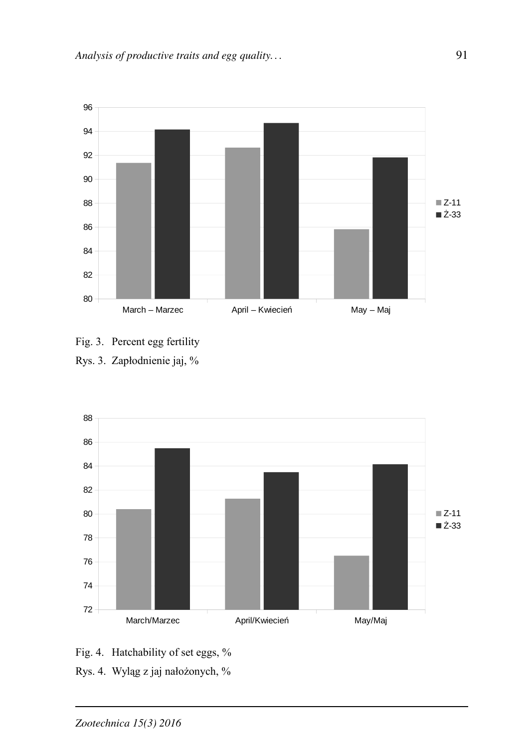

- Fig. 3. Percent egg fertility
- Rys. 3. Zapłodnienie jaj, %



- Fig. 4. Hatchability of set eggs, %
- Rys. 4. Wyląg z jaj nałożonych, %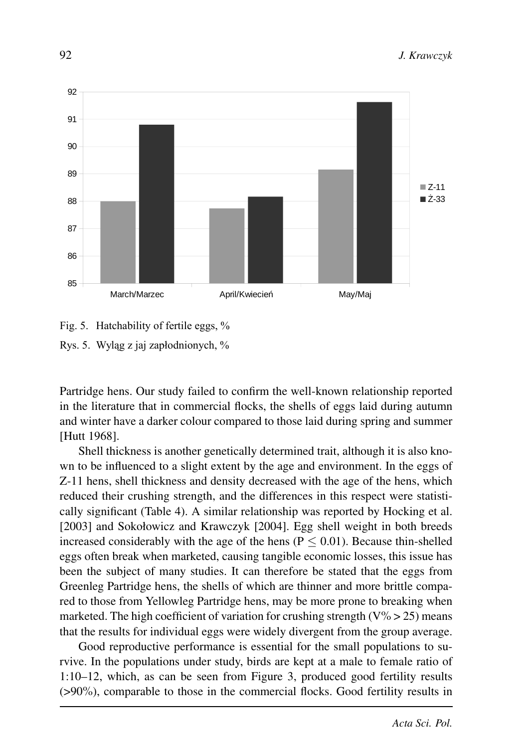

# Fig. 5. Hatchability of fertile eggs, % Rys. 5. Wyląg z jaj zapłodnionych, %

Partridge hens. Our study failed to confirm the well-known relationship reported in the literature that in commercial flocks, the shells of eggs laid during autumn and winter have a darker colour compared to those laid during spring and summer [Hutt 1968].

Shell thickness is another genetically determined trait, although it is also known to be influenced to a slight extent by the age and environment. In the eggs of Z-11 hens, shell thickness and density decreased with the age of the hens, which reduced their crushing strength, and the differences in this respect were statistically significant (Table 4). A similar relationship was reported by Hocking et al. [2003] and Sokołowicz and Krawczyk [2004]. Egg shell weight in both breeds increased considerably with the age of the hens ( $P \le 0.01$ ). Because thin-shelled eggs often break when marketed, causing tangible economic losses, this issue has been the subject of many studies. It can therefore be stated that the eggs from Greenleg Partridge hens, the shells of which are thinner and more brittle compared to those from Yellowleg Partridge hens, may be more prone to breaking when marketed. The high coefficient of variation for crushing strength ( $V\% > 25$ ) means that the results for individual eggs were widely divergent from the group average.

Good reproductive performance is essential for the small populations to survive. In the populations under study, birds are kept at a male to female ratio of 1:10–12, which, as can be seen from Figure 3, produced good fertility results (>90%), comparable to those in the commercial flocks. Good fertility results in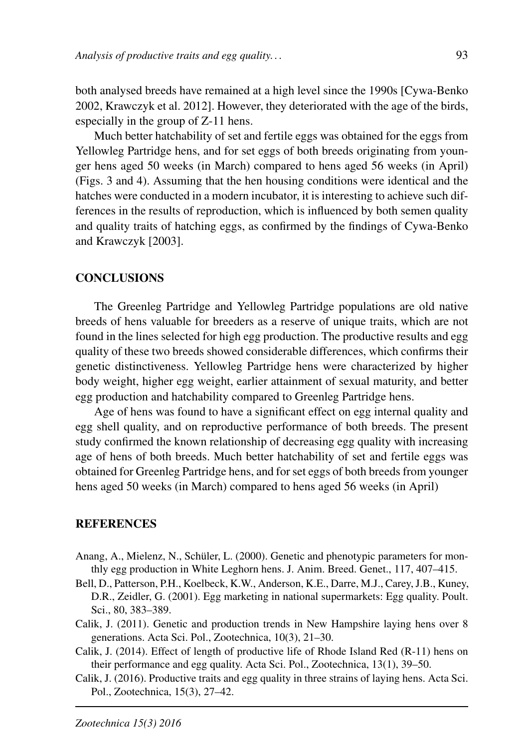both analysed breeds have remained at a high level since the 1990s [Cywa-Benko 2002, Krawczyk et al. 2012]. However, they deteriorated with the age of the birds, especially in the group of Z-11 hens.

Much better hatchability of set and fertile eggs was obtained for the eggs from Yellowleg Partridge hens, and for set eggs of both breeds originating from younger hens aged 50 weeks (in March) compared to hens aged 56 weeks (in April) (Figs. 3 and 4). Assuming that the hen housing conditions were identical and the hatches were conducted in a modern incubator, it is interesting to achieve such differences in the results of reproduction, which is influenced by both semen quality and quality traits of hatching eggs, as confirmed by the findings of Cywa-Benko and Krawczyk [2003].

## **CONCLUSIONS**

The Greenleg Partridge and Yellowleg Partridge populations are old native breeds of hens valuable for breeders as a reserve of unique traits, which are not found in the lines selected for high egg production. The productive results and egg quality of these two breeds showed considerable differences, which confirms their genetic distinctiveness. Yellowleg Partridge hens were characterized by higher body weight, higher egg weight, earlier attainment of sexual maturity, and better egg production and hatchability compared to Greenleg Partridge hens.

Age of hens was found to have a significant effect on egg internal quality and egg shell quality, and on reproductive performance of both breeds. The present study confirmed the known relationship of decreasing egg quality with increasing age of hens of both breeds. Much better hatchability of set and fertile eggs was obtained for Greenleg Partridge hens, and for set eggs of both breeds from younger hens aged 50 weeks (in March) compared to hens aged 56 weeks (in April)

## **REFERENCES**

- Anang, A., Mielenz, N., Schüler, L. (2000). Genetic and phenotypic parameters for monthly egg production in White Leghorn hens. J. Anim. Breed. Genet., 117, 407–415.
- Bell, D., Patterson, P.H., Koelbeck, K.W., Anderson, K.E., Darre, M.J., Carey, J.B., Kuney, D.R., Zeidler, G. (2001). Egg marketing in national supermarkets: Egg quality. Poult. Sci., 80, 383–389.
- Calik, J. (2011). Genetic and production trends in New Hampshire laying hens over 8 generations. Acta Sci. Pol., Zootechnica, 10(3), 21–30.
- Calik, J. (2014). Effect of length of productive life of Rhode Island Red (R-11) hens on their performance and egg quality. Acta Sci. Pol., Zootechnica, 13(1), 39–50.
- Calik, J. (2016). Productive traits and egg quality in three strains of laying hens. Acta Sci. Pol., Zootechnica, 15(3), 27–42.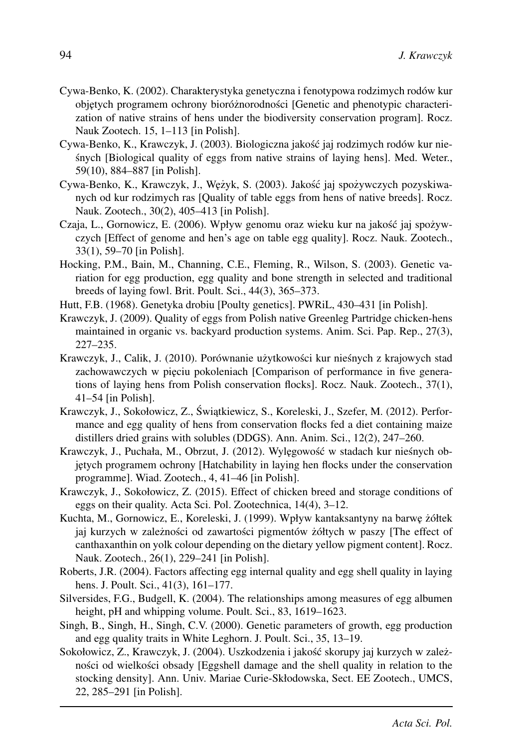- Cywa-Benko, K. (2002). Charakterystyka genetyczna i fenotypowa rodzimych rodów kur objętych programem ochrony bioróżnorodności [Genetic and phenotypic characterization of native strains of hens under the biodiversity conservation program]. Rocz. Nauk Zootech. 15, 1–113 [in Polish].
- Cywa-Benko, K., Krawczyk, J. (2003). Biologiczna jakos´c jaj rodzimych rodów kur nie- ´ snych [Biological quality of eggs from native strains of laying hens]. Med. Weter., ´ 59(10), 884–887 [in Polish].
- Cywa-Benko, K., Krawczyk, J., Wężyk, S. (2003). Jakość jaj spożywczych pozyskiwanych od kur rodzimych ras [Quality of table eggs from hens of native breeds]. Rocz. Nauk. Zootech., 30(2), 405–413 [in Polish].
- Czaja, L., Gornowicz, E. (2006). Wpływ genomu oraz wieku kur na jakość jaj spożywczych [Effect of genome and hen's age on table egg quality]. Rocz. Nauk. Zootech., 33(1), 59–70 [in Polish].
- Hocking, P.M., Bain, M., Channing, C.E., Fleming, R., Wilson, S. (2003). Genetic variation for egg production, egg quality and bone strength in selected and traditional breeds of laying fowl. Brit. Poult. Sci., 44(3), 365–373.
- Hutt, F.B. (1968). Genetyka drobiu [Poulty genetics]. PWRiL, 430–431 [in Polish].
- Krawczyk, J. (2009). Quality of eggs from Polish native Greenleg Partridge chicken-hens maintained in organic vs. backyard production systems. Anim. Sci. Pap. Rep., 27(3), 227–235.
- Krawczyk, J., Calik, J. (2010). Porównanie użytkowości kur nieśnych z krajowych stad zachowawczych w pięciu pokoleniach [Comparison of performance in five generations of laying hens from Polish conservation flocks]. Rocz. Nauk. Zootech., 37(1), 41–54 [in Polish].
- Krawczyk, J., Sokołowicz, Z., Świątkiewicz, S., Koreleski, J., Szefer, M. (2012). Performance and egg quality of hens from conservation flocks fed a diet containing maize distillers dried grains with solubles (DDGS). Ann. Anim. Sci., 12(2), 247–260.
- Krawczyk, J., Puchała, M., Obrzut, J. (2012). Wylęgowość w stadach kur nieśnych objętych programem ochrony [Hatchability in laying hen flocks under the conservation programme]. Wiad. Zootech., 4, 41–46 [in Polish].
- Krawczyk, J., Sokołowicz, Z. (2015). Effect of chicken breed and storage conditions of eggs on their quality. Acta Sci. Pol. Zootechnica, 14(4), 3–12.
- Kuchta, M., Gornowicz, E., Koreleski, J. (1999). Wpływ kantaksantyny na barwę żółtek jaj kurzych w zależności od zawartości pigmentów żółtych w paszy [The effect of canthaxanthin on yolk colour depending on the dietary yellow pigment content]. Rocz. Nauk. Zootech., 26(1), 229–241 [in Polish].
- Roberts, J.R. (2004). Factors affecting egg internal quality and egg shell quality in laying hens. J. Poult. Sci., 41(3), 161–177.
- Silversides, F.G., Budgell, K. (2004). The relationships among measures of egg albumen height, pH and whipping volume. Poult. Sci., 83, 1619–1623.
- Singh, B., Singh, H., Singh, C.V. (2000). Genetic parameters of growth, egg production and egg quality traits in White Leghorn. J. Poult. Sci., 35, 13–19.
- Sokołowicz, Z., Krawczyk, J. (2004). Uszkodzenia i jakość skorupy jaj kurzych w zależności od wielkości obsady [Eggshell damage and the shell quality in relation to the stocking density]. Ann. Univ. Mariae Curie-Skłodowska, Sect. EE Zootech., UMCS, 22, 285–291 [in Polish].